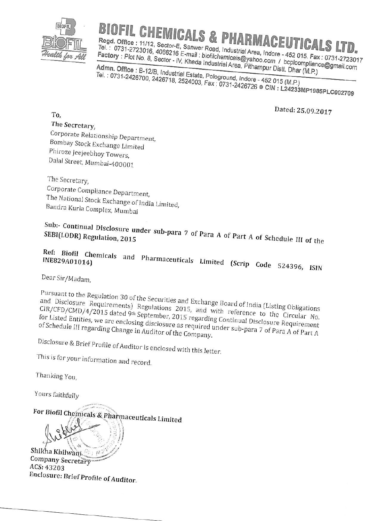

To.

## **BIOFIL CHEMICALS & PHARMACEUTICALS LTD**

Regd. Office: 11/12, Sector-E, Sanwer Road, Industrial Area, Indore - 452 015. Fax: 0731-2723017 Tel.: 0731-2723016, 4066216 E-mail: biofilchemicals@yahoo.com / bcplcompliance@gmail.com Factory: Plot No. 8, Sector - IV, Kheda Industrial Area, Pithampur Distt. Dhar (M.P.)

Admn. Office: B-12/B, Industrial Estate, Pologround, Indore - 452 015 (M.P.) Tel.: 0731-2426700, 2426718, 2524003, Fax: 0731-2426726 CIN: L24233MP1985PLC002709

Dated: 25.09.2017

The Secretary, Corporate Relationship Department, Bombay Stock Exchange Limited Phiroze Jeejeebhoy Towers, Dalal Street, Mumbai-400001

The Secretary, Corporate Compliance Department, The National Stock Exchange of India Limited, Bandra Kurla Complex, Mumbai

Sub:- Continual Disclosure under sub-para 7 of Para A of Part A of Schedule III of the

Ref: Biofil Chemicals and Pharmaceuticals Limited (Scrip Code 524396, ISIN INE829A01014)

Dear Sir/Madam.

Pursuant to the Regulation 30 of the Securities and Exchange Board of India (Listing Obligations and Disclosure Requirements) Regulations 2015, and with reference to the Circular No. CIR/CFD/CMD/4/2015 dated 9th September, 2015 regarding Continual Disclosure Requirement for Listed Entities, we are enclosing disclosure as required under sub-para 7 of Para A of Part A of Schedule III regarding Change in Auditor of the Company.

Disclosure & Brief Profile of Auditor is enclosed with this letter.

This is for your information and record.

Thanking You,

Yours faithfully

For Biofil Chemicals & Pharmaceuticals Limited Shikha Khilwani. Company Secretary ACS: 43203 Enclosure: Brief Profile of Auditor.